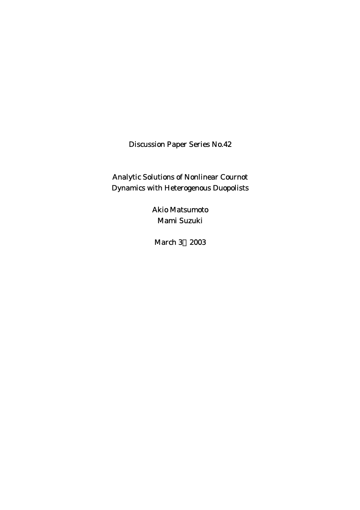Discussion Paper Series No.42

Analytic Solutions of Nonlinear Cournot Dynamics with Heterogenous Duopolists

> Akio Matsumoto Mami Suzuki

March 3, 2003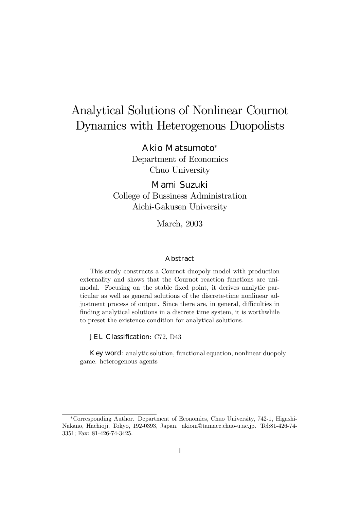# Analytical Solutions of Nonlinear Cournot Dynamics with Heterogenous Duopolists

#### Akio Matsumoto<sup>∗</sup>

Department of Economics Chuo University

### Mami Suzuki

College of Bussiness Administration Aichi-Gakusen University

March, 2003

#### Abstract

This study constructs a Cournot duopoly model with production externality and shows that the Cournot reaction functions are unimodal. Focusing on the stable fixed point, it derives analytic particular as well as general solutions of the discrete-time nonlinear adjustment process of output. Since there are, in general, difficulties in finding analytical solutions in a discrete time system, it is worthwhile to preset the existence condition for analytical solutions.

JEL Classification: C72, D43

Key word: analytic solution, functional equation, nonlinear duopoly game. heterogenous agents

<sup>∗</sup>Corresponding Author. Department of Economics, Chuo University, 742-1, Higashi-Nakano, Hachioji, Tokyo, 192-0393, Japan. akiom@tamacc.chuo-u.ac.jp. Tel:81-426-74- 3351; Fax: 81-426-74-3425.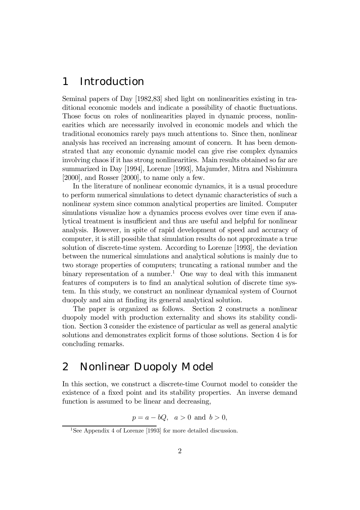## 1 Introduction

Seminal papers of Day [1982,83] shed light on nonlinearities existing in traditional economic models and indicate a possibility of chaotic fluctuations. Those focus on roles of nonlinearities played in dynamic process, nonlinearities which are necessarily involved in economic models and which the traditional economics rarely pays much attentions to. Since then, nonlinear analysis has received an increasing amount of concern. It has been demonstrated that any economic dynamic model can give rise complex dynamics involving chaos if it has strong nonlinearities. Main results obtained so far are summarized in Day [1994], Lorenze [1993], Majumder, Mitra and Nishimura [2000], and Rosser [2000], to name only a few.

In the literature of nonlinear economic dynamics, it is a usual procedure to perform numerical simulations to detect dynamic characteristics of such a nonlinear system since common analytical properties are limited. Computer simulations visualize how a dynamics process evolves over time even if analytical treatment is insufficient and thus are useful and helpful for nonlinear analysis. However, in spite of rapid development of speed and accuracy of computer, it is still possible that simulation results do not approximate a true solution of discrete-time system. According to Lorenze [1993], the deviation between the numerical simulations and analytical solutions is mainly due to two storage properties of computers; truncating a rational number and the binary representation of a number.<sup>1</sup> One way to deal with this immanent features of computers is to find an analytical solution of discrete time system. In this study, we construct an nonlinear dynamical system of Cournot duopoly and aim at finding its general analytical solution.

The paper is organized as follows. Section 2 constructs a nonlinear duopoly model with production externality and shows its stability condition. Section 3 consider the existence of particular as well as general analytic solutions and demonstrates explicit forms of those solutions. Section 4 is for concluding remarks.

### 2 Nonlinear Duopoly Model

In this section, we construct a discrete-time Cournot model to consider the existence of a fixed point and its stability properties. An inverse demand function is assumed to be linear and decreasing,

$$
p = a - bQ, \quad a > 0 \text{ and } b > 0,
$$

<sup>&</sup>lt;sup>1</sup>See Appendix 4 of Lorenze [1993] for more detailed discussion.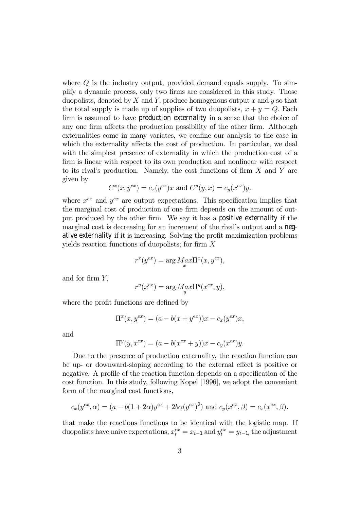where  $Q$  is the industry output, provided demand equals supply. To simplify a dynamic process, only two firms are considered in this study. Those duopolists, denoted by  $X$  and  $Y$ , produce homogenous output  $x$  and  $y$  so that the total supply is made up of supplies of two duopolists,  $x + y = Q$ . Each firm is assumed to have production externality in a sense that the choice of any one firm affects the production possibility of the other firm. Although externalities come in many variates, we confine our analysis to the case in which the externality affects the cost of production. In particular, we deal with the simplest presence of externality in which the production cost of a firm is linear with respect to its own production and nonlinear with respect to its rival's production. Namely, the cost functions of firm  $X$  and  $Y$  are given by

$$
C^x(x, y^{ex}) = c_x(y^{ex})x
$$
 and  $C^y(y, x) = c_y(x^{ex})y$ .

where  $x^{ex}$  and  $y^{ex}$  are output expectations. This specification implies that the marginal cost of production of one firm depends on the amount of output produced by the other firm. We say it has a positive externality if the marginal cost is decreasing for an increment of the rival's output and a negative externality if it is increasing. Solving the profit maximization problems yields reaction functions of duopolists; for firm  $X$ 

$$
r^x(y^{ex}) = \arg\max_x \Pi^x(x, y^{ex}),
$$

and for firm Y,

$$
r^y(x^{ex}) = \arg\underset{y}{Max} \Pi^y(x^{ex}, y),
$$

where the profit functions are defined by

$$
\Pi^{x}(x, y^{ex}) = (a - b(x + y^{ex}))x - c_{x}(y^{ex})x,
$$

and

$$
\Pi^{y}(y, x^{ex}) = (a - b(x^{ex} + y))x - c_{y}(x^{ex})y.
$$

Due to the presence of production externality, the reaction function can be up- or downward-sloping according to the external effect is positive or negative. A profile of the reaction function depends on a specification of the cost function. In this study, following Kopel [1996], we adopt the convenient form of the marginal cost functions,

$$
c_x(y^{ex}, \alpha) = (a - b(1 + 2\alpha)y^{ex} + 2b\alpha(y^{ex})^2)
$$
 and  $c_y(x^{ex}, \beta) = c_x(x^{ex}, \beta)$ .

that make the reactions functions to be identical with the logistic map. If duopolists have naive expectations,  $x_t^{ex} = x_{t-1}$  and  $y_t^{ex} = y_{t-1}$ , the adjustment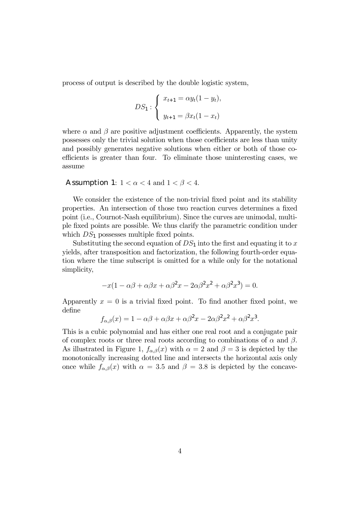process of output is described by the double logistic system,

$$
DS_1: \begin{cases} x_{t+1} = \alpha y_t (1 - y_t), \\ y_{t+1} = \beta x_t (1 - x_t) \end{cases}
$$

where  $\alpha$  and  $\beta$  are positive adjustment coefficients. Apparently, the system possesses only the trivial solution when those coefficients are less than unity and possibly generates negative solutions when either or both of those coefficients is greater than four. To eliminate those uninteresting cases, we assume

#### **Assumption 1:**  $1 < \alpha < 4$  and  $1 < \beta < 4$ .

We consider the existence of the non-trivial fixed point and its stability properties. An intersection of those two reaction curves determines a fixed point (i.e., Cournot-Nash equilibrium). Since the curves are unimodal, multiple fixed points are possible. We thus clarify the parametric condition under which  $DS_1$  possesses multiple fixed points.

Substituting the second equation of  $DS_1$  into the first and equating it to x yields, after transposition and factorization, the following fourth-order equation where the time subscript is omitted for a while only for the notational simplicity,

$$
-x(1 - \alpha\beta + \alpha\beta x + \alpha\beta^2 x - 2\alpha\beta^2 x^2 + \alpha\beta^2 x^3) = 0.
$$

Apparently  $x = 0$  is a trivial fixed point. To find another fixed point, we define

$$
f_{\alpha,\beta}(x) = 1 - \alpha\beta + \alpha\beta x + \alpha\beta^2 x - 2\alpha\beta^2 x^2 + \alpha\beta^2 x^3.
$$

This is a cubic polynomial and has either one real root and a conjugate pair of complex roots or three real roots according to combinations of  $\alpha$  and  $\beta$ . As illustrated in Figure 1,  $f_{\alpha,\beta}(x)$  with  $\alpha = 2$  and  $\beta = 3$  is depicted by the monotonically increasing dotted line and intersects the horizontal axis only once while  $f_{\alpha,\beta}(x)$  with  $\alpha = 3.5$  and  $\beta = 3.8$  is depicted by the concave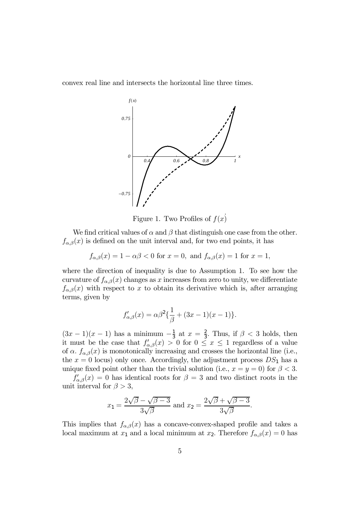convex real line and intersects the horizontal line three times.



Figure 1. Two Profiles of  $f(x)$ 

We find critical values of  $\alpha$  and  $\beta$  that distinguish one case from the other.  $f_{\alpha,\beta}(x)$  is defined on the unit interval and, for two end points, it has

$$
f_{\alpha,\beta}(x) = 1 - \alpha\beta < 0 \text{ for } x = 0, \text{ and } f_{\alpha,\beta}(x) = 1 \text{ for } x = 1,
$$

where the direction of inequality is due to Assumption 1. To see how the curvature of  $f_{\alpha,\beta}(x)$  changes as x increases from zero to unity, we differentiate  $f_{\alpha,\beta}(x)$  with respect to x to obtain its derivative which is, after arranging terms, given by

$$
f'_{\alpha,\beta}(x) = \alpha\beta^2 \{\frac{1}{\beta} + (3x - 1)(x - 1)\}.
$$

 $(3x-1)(x-1)$  has a minimum  $-\frac{1}{3}$  at  $x=\frac{2}{3}$ . Thus, if  $\beta < 3$  holds, then it must be the case that  $f'_{\alpha,\beta}(x) > 0$  for  $0 \le x \le 1$  regardless of a value of  $\alpha$ .  $f_{\alpha,\beta}(x)$  is monotonically increasing and crosses the horizontal line (i.e., the  $x = 0$  locus) only once. Accordingly, the adjustment process  $DS_1$  has a unique fixed point other than the trivial solution (i.e.,  $x = y = 0$ ) for  $\beta < 3$ .

 $f'_{\alpha,\beta}(x)=0$  has identical roots for  $\beta=3$  and two distinct roots in the unit interval for  $\beta > 3$ ,

$$
x_1 = \frac{2\sqrt{\beta} - \sqrt{\beta - 3}}{3\sqrt{\beta}} \text{ and } x_2 = \frac{2\sqrt{\beta} + \sqrt{\beta - 3}}{3\sqrt{\beta}}.
$$

This implies that  $f_{\alpha,\beta}(x)$  has a concave-convex-shaped profile and takes a local maximum at  $x_1$  and a local minimum at  $x_2$ . Therefore  $f_{\alpha,\beta}(x)=0$  has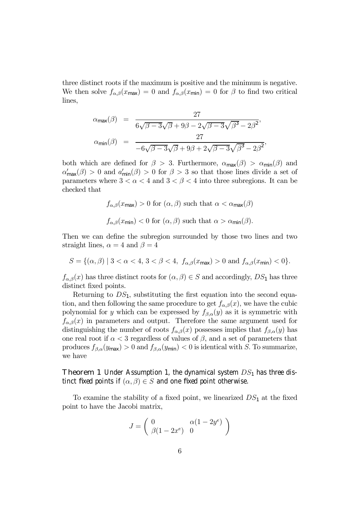three distinct roots if the maximum is positive and the minimum is negative. We then solve  $f_{\alpha,\beta}(x_{\text{max}})=0$  and  $f_{\alpha,\beta}(x_{\text{min}})=0$  for  $\beta$  to find two critical lines,

$$
\alpha_{\max}(\beta) = \frac{27}{6\sqrt{\beta - 3}\sqrt{\beta + 9\beta - 2\sqrt{\beta - 3}\sqrt{\beta^3 - 2\beta^2}},}
$$

$$
\alpha_{\min}(\beta) = \frac{27}{-6\sqrt{\beta - 3}\sqrt{\beta + 9\beta + 2\sqrt{\beta - 3}\sqrt{\beta^3 - 2\beta^2}},}
$$

both which are defined for  $\beta > 3$ . Furthermore,  $\alpha_{\text{max}}(\beta) > \alpha_{\text{min}}(\beta)$  and  $\alpha'_{\text{max}}(\beta) > 0$  and  $\alpha'_{\text{min}}(\beta) > 0$  for  $\beta > 3$  so that those lines divide a set of parameters where  $3 < \alpha < 4$  and  $3 < \beta < 4$  into three subregions. It can be checked that

$$
f_{\alpha,\beta}(x_{\text{max}}) > 0 \text{ for } (\alpha,\beta) \text{ such that } \alpha < \alpha_{\text{max}}(\beta)
$$
  

$$
f_{\alpha,\beta}(x_{\text{min}}) < 0 \text{ for } (\alpha,\beta) \text{ such that } \alpha > \alpha_{\text{min}}(\beta).
$$

Then we can define the subregion surrounded by those two lines and two straight lines,  $\alpha = 4$  and  $\beta = 4$ 

$$
S = \{ (\alpha, \beta) \mid 3 < \alpha < 4, 3 < \beta < 4, f_{\alpha, \beta}(x_{\max}) > 0 \text{ and } f_{\alpha, \beta}(x_{\min}) < 0 \}.
$$

 $f_{\alpha,\beta}(x)$  has three distinct roots for  $(\alpha,\beta) \in S$  and accordingly,  $DS_1$  has three distinct fixed points.

Returning to  $DS_1$ , substituting the first equation into the second equation, and then following the same procedure to get  $f_{\alpha,\beta}(x)$ , we have the cubic polynomial for y which can be expressed by  $f_{\beta,\alpha}(y)$  as it is symmetric with  $f_{\alpha,\beta}(x)$  in parameters and output. Therefore the same argument used for distinguishing the number of roots  $f_{\alpha,\beta}(x)$  possesses implies that  $f_{\beta,\alpha}(y)$  has one real root if  $\alpha < 3$  regardless of values of  $\beta$ , and a set of parameters that produces  $f_{\beta,\alpha}(y_{\text{max}}) > 0$  and  $f_{\beta,\alpha}(y_{\text{min}}) < 0$  is identical with S. To summarize, we have

**Theorem 1** Under Assumption 1, the dynamical system  $DS_1$  has three distinct fixed points if  $(\alpha, \beta) \in S$  and one fixed point otherwise.

To examine the stability of a fixed point, we linearized  $DS_1$  at the fixed point to have the Jacobi matrix,

$$
J = \begin{pmatrix} 0 & \alpha(1 - 2y^e) \\ \beta(1 - 2x^e) & 0 \end{pmatrix}
$$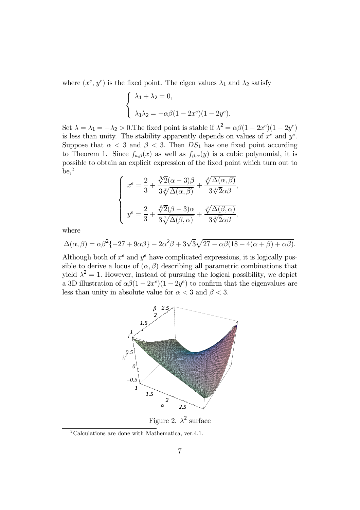where  $(x^e, y^e)$  is the fixed point. The eigen values  $\lambda_1$  and  $\lambda_2$  satisfy

$$
\begin{cases}\n\lambda_1 + \lambda_2 = 0, \\
\lambda_1 \lambda_2 = -\alpha \beta (1 - 2x^e)(1 - 2y^e).\n\end{cases}
$$

Set  $\lambda = \lambda_1 = -\lambda_2 > 0$ . The fixed point is stable if  $\lambda^2 = \alpha \beta (1 - 2x^e)(1 - 2y^e)$ is less than unity. The stability apparently depends on values of  $x^e$  and  $y^e$ . Suppose that  $\alpha < 3$  and  $\beta < 3$ . Then  $DS_1$  has one fixed point according to Theorem 1. Since  $f_{a,\beta}(x)$  as well as  $f_{\beta,\alpha}(y)$  is a cubic polynomial, it is possible to obtain an explicit expression of the fixed point which turn out to  $be,^2$ 

$$
\begin{cases}\nx^e = \frac{2}{3} + \frac{\sqrt[3]{2}(\alpha - 3)\beta}{3\sqrt[3]{\Delta(\alpha, \beta)}} + \frac{\sqrt[3]{\Delta(\alpha, \beta)}}{3\sqrt[3]{2}\alpha\beta}, \\
y^e = \frac{2}{3} + \frac{\sqrt[3]{2}(\beta - 3)\alpha}{3\sqrt[3]{\Delta(\beta, \alpha)}} + \frac{\sqrt[3]{\Delta(\beta, \alpha)}}{3\sqrt[3]{2}\alpha\beta},\n\end{cases}
$$

where

$$
\Delta(\alpha,\beta) = \alpha\beta^2\{-27 + 9\alpha\beta\} - 2\alpha^2\beta + 3\sqrt{3}\sqrt{27 - \alpha\beta(18 - 4(\alpha + \beta) + \alpha\beta)}.
$$

Although both of  $x^e$  and  $y^e$  have complicated expressions, it is logically possible to derive a locus of  $(\alpha, \beta)$  describing all parametric combinations that yield  $\lambda^2 = 1$ . However, instead of pursuing the logical possibility, we depict a 3D illustration of  $\alpha\beta(1-2x^e)(1-2y^e)$  to confirm that the eigenvalues are less than unity in absolute value for  $\alpha < 3$  and  $\beta < 3$ .



Figure 2.  $\lambda^2$  surface

<sup>2</sup>Calculations are done with Mathematica, ver.4.1.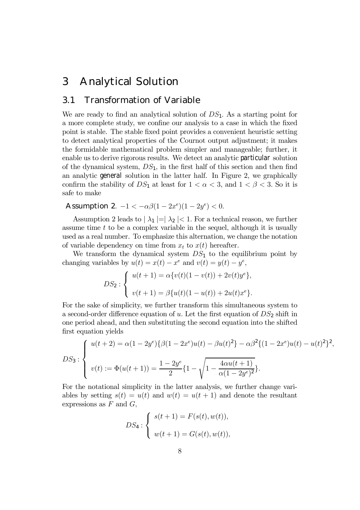## 3 Analytical Solution

### 3.1 Transformation of Variable

We are ready to find an analytical solution of  $DS_1$ . As a starting point for a more complete study, we confine our analysis to a case in which the fixed point is stable. The stable fixed point provides a convenient heuristic setting to detect analytical properties of the Cournot output adjustment; it makes the formidable mathematical problem simpler and manageable; further, it enable us to derive rigorous results. We detect an analytic particular solution of the dynamical system,  $DS_1$ , in the first half of this section and then find an analytic general solution in the latter half. In Figure 2, we graphically confirm the stability of  $DS_1$  at least for  $1 < \alpha < 3$ , and  $1 < \beta < 3$ . So it is safe to make

Assumption 2.  $-1 < -\alpha\beta(1 - 2x^e)(1 - 2y^e) < 0$ .

Assumption 2 leads to  $|\lambda_1| = |\lambda_2| < 1$ . For a technical reason, we further assume time  $t$  to be a complex variable in the sequel, although it is usually used as a real number. To emphasize this alternation, we change the notation of variable dependency on time from  $x_t$  to  $x(t)$  hereafter.

We transform the dynamical system  $DS_1$  to the equilibrium point by changing variables by  $u(t) = x(t) - x^e$  and  $v(t) = y(t) - y^e$ ,

$$
DS_2: \begin{cases} u(t+1) = \alpha \{v(t)(1-v(t)) + 2v(t)y^e\}, \\ v(t+1) = \beta \{u(t)(1-u(t)) + 2u(t)x^e\}. \end{cases}
$$

For the sake of simplicity, we further transform this simultaneous system to a second-order difference equation of u. Let the first equation of  $DS_2$  shift in one period ahead, and then substituting the second equation into the shifted first equation yields

$$
DS_3: \begin{cases} u(t+2) = \alpha (1-2y^e) \{ \beta (1-2x^e)u(t) - \beta u(t)^2 \} - \alpha \beta^2 \{ (1-2x^e)u(t) - u(t)^2 \}^2, \\ v(t) := \Phi(u(t+1)) = \frac{1-2y^e}{2} \{ 1 - \sqrt{1 - \frac{4\alpha u(t+1)}{\alpha (1-2y^e)^2}} \}. \end{cases}
$$

For the notational simplicity in the latter analysis, we further change variables by setting  $s(t) = u(t)$  and  $w(t) = u(t+1)$  and denote the resultant expressions as  $F$  and  $G$ ,

$$
DS_4: \begin{cases} s(t+1) = F(s(t), w(t)), \\ w(t+1) = G(s(t), w(t)), \end{cases}
$$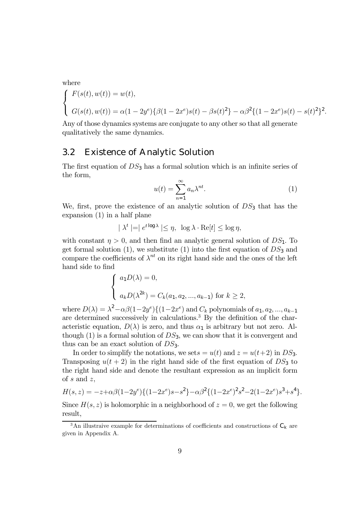where

$$
\begin{cases}\nF(s(t), w(t)) = w(t), \\
G(s(t), w(t)) = \alpha (1 - 2y^e) \{ \beta (1 - 2x^e) s(t) - \beta s(t)^2 \} - \alpha \beta^2 \{ (1 - 2x^e) s(t) - s(t)^2 \}^2.\n\end{cases}
$$

Any of those dynamics systems are conjugate to any other so that all generate qualitatively the same dynamics.

#### 3.2 Existence of Analytic Solution

The first equation of  $DS_3$  has a formal solution which is an infinite series of the form,

$$
u(t) = \sum_{n=1}^{\infty} a_n \lambda^{nt}.
$$
 (1)

We, first, prove the existence of an analytic solution of  $DS_3$  that has the expansion (1) in a half plane

$$
|\lambda^t| = |e^{t \log \lambda}| \le \eta, \ \log \lambda \cdot \text{Re}[t] \le \log \eta,
$$

with constant  $\eta > 0$ , and then find an analytic general solution of  $DS_1$ . To get formal solution  $(1)$ , we substitute  $(1)$  into the first equation of  $DS_3$  and compare the coefficients of  $\lambda^{nt}$  on its right hand side and the ones of the left hand side to find

$$
\begin{cases}\na_1 D(\lambda) = 0, \\
a_k D(\lambda^{2k}) = C_k(a_1, a_2, \dots, a_{k-1}) \text{ for } k \ge 2,\n\end{cases}
$$

where  $D(\lambda) = \lambda^2 - \alpha \beta (1-2y^e) \{ (1-2x^e) \text{ and } C_k \text{ polynomials of } a_1, a_2, ..., a_{k-1} \}$ are determined successively in calculations.3 By the definition of the characteristic equation,  $D(\lambda)$  is zero, and thus  $\alpha_1$  is arbitrary but not zero. Although (1) is a formal solution of  $DS_3$ , we can show that it is convergent and thus can be an exact solution of  $DS_3$ .

In order to simplify the notations, we set  $s = u(t)$  and  $z = u(t+2)$  in  $DS_3$ . Transposing  $u(t + 2)$  in the right hand side of the first equation of  $DS_3$  to the right hand side and denote the resultant expression as an implicit form of  $s$  and  $z$ ,

$$
H(s,z) = -z + \alpha \beta (1 - 2y^e) \{ (1 - 2x^e)s - s^2 \} - \alpha \beta^2 \{ (1 - 2x^e)^2 s^2 - 2(1 - 2x^e) s^3 + s^4 \}.
$$

Since  $H(s, z)$  is holomorphic in a neighborhood of  $z = 0$ , we get the following result,

 $^3{\rm An}$  illustraive example for determinations of coefficients and constructions of  ${\rm C}_{{\rm K}}$  are given in Appendix A.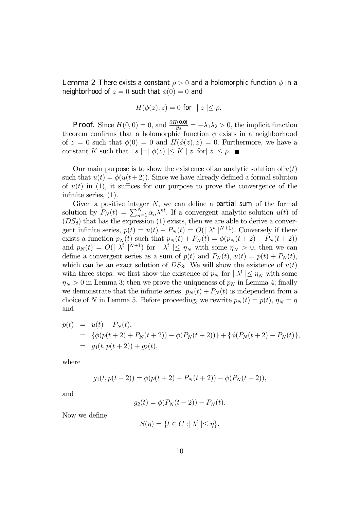**Lemma 2** There exists a constant  $\rho > 0$  and a holomorphic function  $\phi$  in a neighborhood of  $z = 0$  such that  $\phi(0) = 0$  and

$$
H(\phi(z),z) = 0 \text{ for } |z| \le \rho.
$$

**Proof.** Since  $H(0,0) = 0$ , and  $\frac{\partial H(0,0)}{\partial s} = -\lambda_1 \lambda_2 > 0$ , the implicit function theorem confirms that a holomorphic function  $\phi$  exists in a neighborhood of  $z = 0$  such that  $\phi(0) = 0$  and  $H(\phi(z), z) = 0$ . Furthermore, we have a constant K such that  $|s| = |\phi(z)| \leq K |z|$  for  $|z| \leq \rho$ .

Our main purpose is to show the existence of an analytic solution of  $u(t)$ such that  $u(t) = \phi(u(t+2))$ . Since we have already defined a formal solution of  $u(t)$  in (1), it suffices for our purpose to prove the convergence of the infinite series, (1).

Given a positive integer  $N$ , we can define a partial sum of the formal solution by  $P_N(t) = \sum_{n=1}^N \alpha_n \lambda^{nt}$ . If a convergent analytic solution  $u(t)$  of  $(DS_3)$  that has the expression (1) exists, then we are able to derive a convergent infinite series,  $p(t) = u(t) - P_N(t) = O(|\lambda^t|^{N+1})$ . Conversely if there exists a function  $p_N(t)$  such that  $p_N(t) + P_N(t) = \phi(p_N(t+2) + P_N(t+2))$ and  $p_N(t) = O(|\lambda^t|^{N+1})$  for  $|\lambda^t| \leq \eta_N$  with some  $\eta_N > 0$ , then we can define a convergent series as a sum of  $p(t)$  and  $P_N(t)$ ,  $u(t) = p(t) + P_N(t)$ , which can be an exact solution of  $DS_3$ . We will show the existence of  $u(t)$ with three steps: we first show the existence of  $p_N$  for  $|\lambda^t| \leq \eta_N$  with some  $\eta_N > 0$  in Lemma 3; then we prove the uniqueness of  $p_N$  in Lemma 4; finally we demonstrate that the infinite series  $p_N(t) + P_N(t)$  is independent from a choice of N in Lemma 5. Before proceeding, we rewrite  $p_N(t) = p(t)$ ,  $\eta_N = \eta$ and

$$
p(t) = u(t) - P_N(t),
$$
  
= { $\phi(p(t+2) + P_N(t+2)) - \phi(P_N(t+2))$  } + { $\phi(P_N(t+2) - P_N(t))$ },  
=  $g_1(t, p(t+2)) + g_2(t),$ 

where

$$
g_1(t, p(t+2)) = \phi(p(t+2) + P_N(t+2)) - \phi(P_N(t+2)),
$$

and

$$
g_2(t) = \phi(P_N(t+2)) - P_N(t).
$$

Now we define

$$
S(\eta) = \{ t \in C : \mid \lambda^t \mid \leq \eta \}.
$$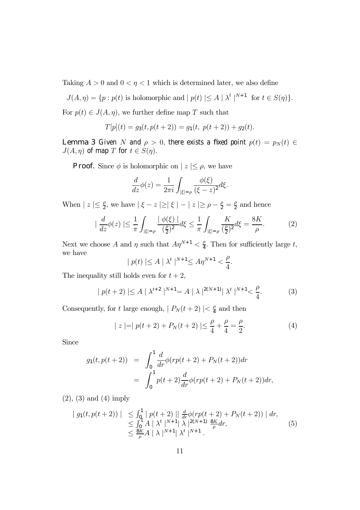Taking  $A > 0$  and  $0 < \eta < 1$  which is determined later, we also define

$$
J(A, \eta) = \{ p : p(t) \text{ is holomorphic and } | p(t) | \le A | \lambda^t |^{N+1} \text{ for } t \in S(\eta) \}.
$$

For  $p(t) \in J(A, \eta)$ , we further define map T such that

$$
T[p](t) = g_3(t, p(t+2)) = g_1(t, p(t+2)) + g_2(t).
$$

**Lemma 3** Given N and  $\rho > 0$ , there exists a fixed point  $p(t) = p_N(t) \in$  $J(A, \eta)$  of map T for  $t \in S(\eta)$ .

**Proof.** Since  $\phi$  is holomorphic on  $|z| \leq \rho$ , we have

$$
\frac{d}{dz}\phi(z) = \frac{1}{2\pi i} \int_{|\xi|=\rho} \frac{\phi(\xi)}{(\xi - z)^2} d\xi.
$$

When  $| z | \leq \frac{\rho}{2}$ , we have  $| \xi - z | \geq | \xi | - | z | \geq \rho - \frac{\rho}{2} = \frac{\rho}{2}$  and hence

$$
|\frac{d}{dz}\phi(z)| \le \frac{1}{\pi} \int_{|\xi|=\rho} \frac{|\phi(\xi)|}{(\frac{\rho}{2})^2} d\xi \le \frac{1}{\pi} \int_{|\xi|=\rho} \frac{K}{(\frac{\rho}{2})^2} d\xi = \frac{8K}{\rho}.
$$
 (2)

Next we choose A and  $\eta$  such that  $A\eta^{N+1} < \frac{\rho}{4}$ . Then for sufficiently large t, we have

$$
|p(t)| \le A \mid \lambda^t \mid^{N+1} \le A\eta^{N+1} < \frac{\rho}{4}.
$$

The inequality still holds even for  $t + 2$ ,

$$
|p(t+2)| \le A \mid \lambda^{t+2} \mid^{N+1} = A \mid \lambda \mid^{2(N+1)} \mid \lambda^t \mid^{N+1} < \frac{\rho}{4}.\tag{3}
$$

Consequently, for t large enough,  $| P_N(t + 2) | < \frac{\rho}{4}$  and then

$$
|z| = |p(t+2) + P_N(t+2)| \le \frac{\rho}{4} + \frac{\rho}{4} = \frac{\rho}{2}.
$$
 (4)

Since

$$
g_1(t, p(t+2)) = \int_0^1 \frac{d}{dr} \phi(r p(t+2) + P_N(t+2)) dr
$$
  
= 
$$
\int_0^1 p(t+2) \frac{d}{dr} \phi(r p(t+2) + P_N(t+2)) dr,
$$

(2), (3) and (4) imply

$$
\begin{array}{lll} | \ g_1(t, p(t+2)) \ | \ \leq \int_0^1 | \ p(t+2) \ || \ \frac{d}{dr} \phi(rp(t+2) + P_N(t+2)) \ || \ dr, \\ \leq \int_0^1 A \ || \lambda^t \ ||^{N+1} \ || \ \lambda \ ||^{2(N+1)} \ \frac{8K}{\rho} dr, \\ \leq \frac{8K}{\rho} A \ || \ \lambda \ ||^{N+1} \ || \ \lambda^t \ ||^{N+1} \ . \end{array} \tag{5}
$$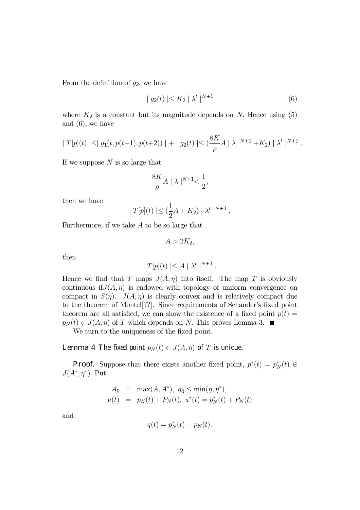From the definition of  $g_2$ , we have

$$
| g_2(t) | \le K_2 | \lambda^t |^{N+1}
$$
 (6)

where  $K_2$  is a constant but its magnitude depends on N. Hence using  $(5)$ and (6), we have

$$
|T[p](t)| \leq |g_1(t, p(t+1), p(t+2))| + |g_2(t)| \leq (\frac{8K}{\rho}A |\lambda|^{N+1} + K_2) |\lambda^{t}|^{N+1}.
$$

If we suppose  $N$  is so large that

$$
\frac{8K}{\rho}A \mid \lambda \mid^{N+1} < \frac{1}{2},
$$

then we have

$$
|T[p](t)| \leq (\frac{1}{2}A + K_2) | \lambda^t |^{N+1}.
$$

Furthermore, if we take A to be so large that

$$
A>2K_2,
$$

then

$$
|T[p](t)| \leq A | \lambda^t |^{N+1} .
$$

Hence we find that T maps  $J(A, \eta)$  into itself. The map T is obviously continuous if  $J(A, \eta)$  is endowed with topology of uniform convergence on compact in  $S(\eta)$ .  $J(A, \eta)$  is clearly convex and is relatively compact due to the theorem of Montel[??]. Since requirements of Schauder's fixed point theorem are all satisfied, we can show the existence of a fixed point  $p(t) =$  $p_N (t) \in J(A, \eta)$  of T which depends on N. This proves Lemma 3.

We turn to the uniqueness of the fixed point.

**Lemma 4** The fixed point  $p_N(t) \in J(A, \eta)$  of T is unique.

**Proof.** Suppose that there exists another fixed point,  $p^*(t) = p_N^*(t) \in$  $J(A^*, \eta^*)$ . Put

$$
A_0 = \max(A, A^*), \ \eta_0 \le \min(\eta, \eta^*),
$$
  

$$
u(t) = p_N(t) + P_N(t), \ u^*(t) = p_N^*(t) + P_N(t)
$$

and

$$
q(t) = p_N^*(t) - p_N(t).
$$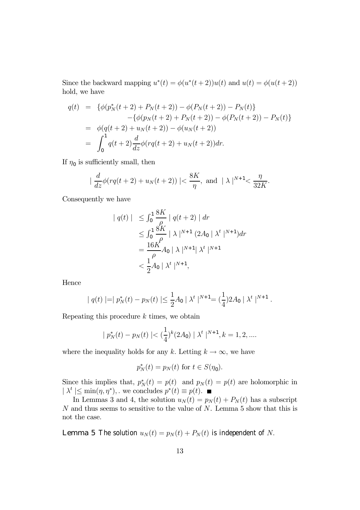Since the backward mapping  $u^*(t) = \phi(u^*(t+2))u(t)$  and  $u(t) = \phi(u(t+2))$ hold, we have

$$
q(t) = \{ \phi(p_N^*(t+2) + P_N(t+2)) - \phi(P_N(t+2)) - P_N(t) \}
$$
  
\n
$$
- \{ \phi(p_N(t+2) + P_N(t+2)) - \phi(P_N(t+2)) - P_N(t) \}
$$
  
\n
$$
= \phi(q(t+2) + u_N(t+2)) - \phi(u_N(t+2))
$$
  
\n
$$
= \int_0^1 q(t+2) \frac{d}{dz} \phi(rq(t+2) + u_N(t+2)) dr.
$$

If  $\eta_0$  is sufficiently small, then

$$
|\frac{d}{dz}\phi(rq(t+2) + u_N(t+2))| < \frac{8K}{\eta}, \text{ and } |\lambda|^{N+1} < \frac{\eta}{32K}.
$$

Consequently we have

$$
\begin{aligned}\n\mid q(t) \mid & \leq \int_0^1 \frac{8K}{\rho} \mid q(t+2) \mid dr \\
& \leq \int_0^1 \frac{8K}{\rho} \mid \lambda \mid^{N+1} (2A_0 \mid \lambda^t \mid^{N+1}) dr \\
& = \frac{16K}{\rho} A_0 \mid \lambda \mid^{N+1} \mid \lambda^t \mid^{N+1} \\
& < \frac{1}{2} A_0 \mid \lambda^t \mid^{N+1},\n\end{aligned}
$$

Hence

$$
| q(t) | = | p_N^*(t) - p_N(t) | \leq \frac{1}{2} A_0 | \lambda^t |^{N+1} = (\frac{1}{4}) 2 A_0 | \lambda^t |^{N+1}.
$$

Repeating this procedure  $k$  times, we obtain

$$
| p_N^*(t) - p_N(t) | < \left(\frac{1}{4}\right)^k (2A_0) | \lambda^t |^{N+1}, k = 1, 2, \dots
$$

where the inequality holds for any k. Letting  $k \to \infty$ , we have

$$
p_N^*(t) = p_N(t) \text{ for } t \in S(\eta_0).
$$

Since this implies that,  $p_N^*(t) = p(t)$  and  $p_N(t) = p(t)$  are holomorphic in  $|\lambda^t| \leq \min(\eta, \eta^*),$  we concludes  $p^*(t) \equiv p(t)$ .

In Lemmas 3 and 4, the solution  $u_N(t) = p_N(t) + P_N(t)$  has a subscript  $N$  and thus seems to sensitive to the value of  $N$ . Lemma 5 show that this is not the case.

**Lemma 5** The solution  $u_N(t) = p_N(t) + P_N(t)$  is independent of N.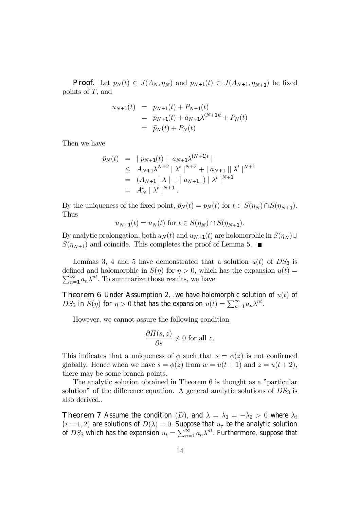**Proof.** Let  $p_N(t) \in J(A_N, \eta_N)$  and  $p_{N+1}(t) \in J(A_{N+1}, \eta_{N+1})$  be fixed points of T, and

$$
u_{N+1}(t) = p_{N+1}(t) + P_{N+1}(t)
$$
  
=  $p_{N+1}(t) + a_{N+1}\lambda^{(N+1)t} + P_N(t)$   
=  $\tilde{p}_N(t) + P_N(t)$ 

Then we have

$$
\tilde{p}_N(t) = |p_{N+1}(t) + a_{N+1}\lambda^{(N+1)t}|
$$
\n
$$
\leq A_{N+1}\lambda^{N+2} |\lambda^t|^{N+2} + |a_{N+1}||\lambda^t|^{N+1}
$$
\n
$$
= (A_{N+1} |\lambda| + |a_{N+1}|) |\lambda^t|^{N+1}
$$
\n
$$
= A_N^* |\lambda^t|^{N+1}.
$$

By the uniqueness of the fixed point,  $\tilde{p}_N(t) = p_N(t)$  for  $t \in S(\eta_N) \cap S(\eta_{N+1})$ . Thus

$$
u_{N+1}(t) = u_N(t)
$$
 for  $t \in S(\eta_N) \cap S(\eta_{N+1})$ .

By analytic prolongation, both  $u_N(t)$  and  $u_{N+1}(t)$  are holomorphic in  $S(\eta_N)$ ∪  $S(\eta_{N+1})$  and coincide. This completes the proof of Lemma 5.  $\blacksquare$ 

Lemmas 3, 4 and 5 have demonstrated that a solution  $u(t)$  of  $DS_3$  is  $\sum_{n=1}^{\infty} a_n \lambda^{nt}$ . To summarize those results, we have defined and holomorphic in  $S(\eta)$  for  $\eta > 0$ , which has the expansion  $u(t) =$ 

**Theorem 6** Under Assumption 2, we have holomorphic solution of  $u(t)$  of  $DS_3$  in  $S(\eta)$  for  $\eta > 0$  that has the expansion  $u(t) = \sum_{n=1}^{\infty} a_n \lambda^{nt}$ .

However, we cannot assure the following condition

$$
\frac{\partial H(s,z)}{\partial s} \neq 0 \text{ for all } z.
$$

This indicates that a uniqueness of  $\phi$  such that  $s = \phi(z)$  is not confirmed globally. Hence when we have  $s = \phi(z)$  from  $w = u(t+1)$  and  $z = u(t+2)$ , there may be some branch points.

The analytic solution obtained in Theorem 6 is thought as a "particular solution" of the difference equation. A general analytic solutions of  $DS_3$  is also derived..

**Theorem 7** Assume the condition (D), and  $\lambda = \lambda_1 = -\lambda_2 > 0$  where  $\lambda_i$  $(i = 1, 2)$  are solutions of  $D(\lambda) = 0$ . Suppose that  $u_{\tau}$  be the analytic solution of  $DS_3$  which has the expansion  $u_t = \sum_{n=1}^\infty a_n \lambda^{nt}.$  Furthermore, suppose that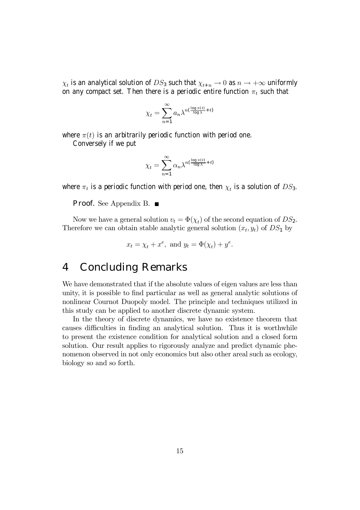$\chi_t$  is an analytical solution of  $DS_3$  such that  $\chi_{t+n} \to 0$  as  $n \to +\infty$  uniformly on any compact set. Then there is a periodic entire function  $\pi_t$  such that

$$
\chi_t = \sum_{n=1}^{\infty} a_n \lambda^{n(\frac{\log \pi(t)}{\log \lambda} + t)}
$$

where  $\pi(t)$  is an arbitrarily periodic function with period one.

Conversely if we put

$$
\chi_t = \sum_{n=1}^{\infty} \alpha_n \lambda^{n(\frac{\log \pi(t)}{\log \lambda} + t)}
$$

where  $\pi_t$  is a periodic function with period one, then  $\chi_t$  is a solution of  $DS_3$ .

**Proof.** See Appendix B. ■

Now we have a general solution  $v_t = \Phi(\chi_t)$  of the second equation of  $DS_2$ . Therefore we can obtain stable analytic general solution  $(x_t, y_t)$  of  $DS_1$  by

$$
x_t = \chi_t + x^e, \text{ and } y_t = \Phi(\chi_t) + y^e.
$$

### 4 Concluding Remarks

We have demonstrated that if the absolute values of eigen values are less than unity, it is possible to find particular as well as general analytic solutions of nonlinear Cournot Duopoly model. The principle and techniques utilized in this study can be applied to another discrete dynamic system.

In the theory of discrete dynamics, we have no existence theorem that causes difficulties in finding an analytical solution. Thus it is worthwhile to present the existence condition for analytical solution and a closed form solution. Our result applies to rigorously analyze and predict dynamic phenomenon observed in not only economics but also other areal such as ecology, biology so and so forth.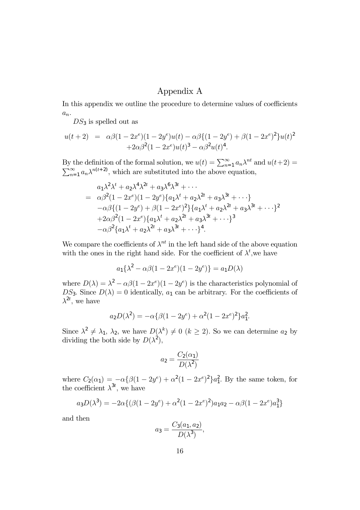### Appendix A

In this appendix we outline the procedure to determine values of coefficients  $a_n$ .

 $DS_3$  is spelled out as

$$
u(t+2) = \alpha \beta (1 - 2x^e)(1 - 2y^e)u(t) - \alpha \beta \{(1 - 2y^e) + \beta (1 - 2x^e)^2\}u(t)^2
$$
  
+2\alpha \beta^2 (1 - 2x^e)u(t)^3 - \alpha \beta^2 u(t)^4.

By the definition of the formal solution, we  $u(t) = \sum_{n=1}^{\infty} a_n \lambda^{nt}$  and  $u(t+2) =$  $\sum_{n=1}^{\infty} a_n \lambda^{n(t+2)}$ , which are substituted into the above equation,

$$
a_1 \lambda^2 \lambda^t + a_2 \lambda^4 \lambda^{2t} + a_3 \lambda^6 \lambda^{3t} + \cdots
$$
  
=  $\alpha \beta^2 (1 - 2x^e) (1 - 2y^e) \{a_1 \lambda^t + a_2 \lambda^{2t} + a_3 \lambda^{3t} + \cdots\}$   
 $-\alpha \beta \{ (1 - 2y^e) + \beta (1 - 2x^e)^2 \} \{a_1 \lambda^t + a_2 \lambda^{2t} + a_3 \lambda^{3t} + \cdots \}^2$   
 $+ 2\alpha \beta^2 (1 - 2x^e) \{a_1 \lambda^t + a_2 \lambda^{2t} + a_3 \lambda^{3t} + \cdots \}^3$   
 $-\alpha \beta^2 \{a_1 \lambda^t + a_2 \lambda^{2t} + a_3 \lambda^{3t} + \cdots \}^4.$ 

We compare the coefficients of  $\lambda^{nt}$  in the left hand side of the above equation with the ones in the right hand side. For the coefficient of  $\lambda^t$ , we have

$$
a_1 \{\lambda^2 - \alpha \beta (1 - 2x^e)(1 - 2y^e) \} = a_1 D(\lambda)
$$

where  $D(\lambda) = \lambda^2 - \alpha \beta (1 - 2x^e) (1 - 2y^e)$  is the characteristics polynomial of  $DS_3$ . Since  $D(\lambda)=0$  identically,  $a_1$  can be arbitrary. For the coefficients of  $\lambda^{2t}$ , we have

$$
a_2D(\lambda^2) = -\alpha \{ \beta(1 - 2y^e) + \alpha^2 (1 - 2x^e)^2 \} a_1^2.
$$

Since  $\lambda^2 \neq \lambda_1, \lambda_2$ , we have  $D(\lambda^k) \neq 0$   $(k \geq 2)$ . So we can determine  $a_2$  by dividing the both side by  $D(\lambda^2)$ ,

$$
a_2 = \frac{C_2(\alpha_1)}{D(\lambda^2)}
$$

where  $C_2(\alpha_1) = -\alpha \{\beta(1-2y^e) + \alpha^2(1-2x^e)^2\}a_1^2$ . By the same token, for the coefficient  $\lambda^{3t}$ , we have

$$
a_3D(\lambda^3) = -2\alpha\{(\beta(1-2y^e) + \alpha^2(1-2x^e)^2)a_1a_2 - \alpha\beta(1-2x^e)a_1^3\}
$$

and then

$$
a_3 = \frac{C_3(a_1, a_2)}{D(\lambda^3)},
$$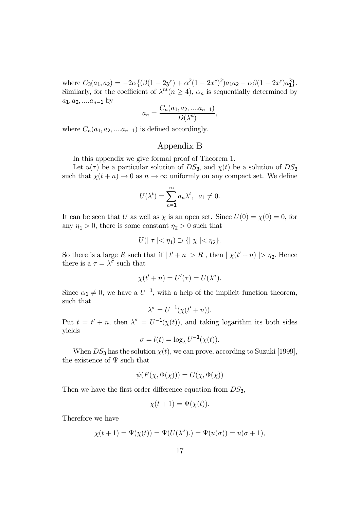where  $C_3(a_1, a_2) = -2\alpha \{ (\beta(1 - 2y^e) + \alpha^2(1 - 2x^e)^2)a_1a_2 - \alpha\beta(1 - 2x^e)a_1^3 \}.$ Similarly, for the coefficient of  $\lambda^{nt}(n \geq 4)$ ,  $\alpha_n$  is sequentially determined by  $a_1, a_2, \dots a_{n-1}$  by

$$
a_n = \frac{C_n(a_1, a_2, \dots a_{n-1})}{D(\lambda^n)},
$$

where  $C_n(a_1, a_2, \ldots, a_{n-1})$  is defined accordingly.

#### Appendix B

In this appendix we give formal proof of Theorem 1.

Let  $u(\tau)$  be a particular solution of  $DS_3$ , and  $\chi(t)$  be a solution of  $DS_3$ such that  $\chi(t+n) \to 0$  as  $n \to \infty$  uniformly on any compact set. We define

$$
U(\lambda^t) = \sum_{n=1}^{\infty} a_n \lambda^t, \ \ a_1 \neq 0.
$$

It can be seen that U as well as  $\chi$  is an open set. Since  $U(0) = \chi(0) = 0$ , for any  $\eta_1 > 0$ , there is some constant  $\eta_2 > 0$  such that

$$
U(|\tau|<\eta_1)\supset\{|\chi|<\eta_2\}.
$$

So there is a large R such that if  $|t' + n| > R$ , then  $|\chi(t' + n)| > \eta_2$ . Hence there is a  $\tau = \lambda^{\sigma}$  such that

$$
\chi(t'+n) = U'(\tau) = U(\lambda^{\sigma}).
$$

Since  $\alpha_1 \neq 0$ , we have a  $U^{-1}$ , with a help of the implicit function theorem, such that

$$
\lambda^{\sigma} = U^{-1}(\chi(t'+n)).
$$

Put  $t = t' + n$ , then  $\lambda^{\sigma} = U^{-1}(\chi(t))$ , and taking logarithm its both sides yields

$$
\sigma = l(t) = \log_{\lambda} U^{-1}(\chi(t)).
$$

When  $DS_3$  has the solution  $\chi(t)$ , we can prove, according to Suzuki [1999], the existence of  $\Psi$  such that

$$
\psi(F(\chi, \Phi(\chi))) = G(\chi, \Phi(\chi))
$$

Then we have the first-order difference equation from  $DS_3$ ,

$$
\chi(t+1) = \Psi(\chi(t)).
$$

Therefore we have

$$
\chi(t+1) = \Psi(\chi(t)) = \Psi(U(\lambda^{\sigma}).) = \Psi(u(\sigma)) = u(\sigma + 1),
$$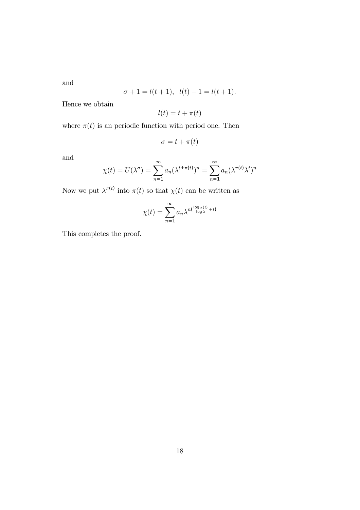and

$$
\sigma + 1 = l(t+1), \ \ l(t) + 1 = l(t+1).
$$

Hence we obtain

$$
l(t) = t + \pi(t)
$$

where  $\pi(t)$  is an periodic function with period one. Then

$$
\sigma = t + \pi(t)
$$

and

$$
\chi(t) = U(\lambda^{\sigma}) = \sum_{n=1}^{\infty} a_n (\lambda^{t+\pi(t)})^n = \sum_{n=1}^{\infty} a_n (\lambda^{\pi(t)} \lambda^t)^n
$$

Now we put  $\lambda^{\pi(t)}$  into  $\pi(t)$  so that  $\chi(t)$  can be written as

$$
\chi(t) = \sum_{n=1}^{\infty} a_n \lambda^{n(\frac{\log \pi(t)}{\log \lambda} + t)}
$$

This completes the proof.